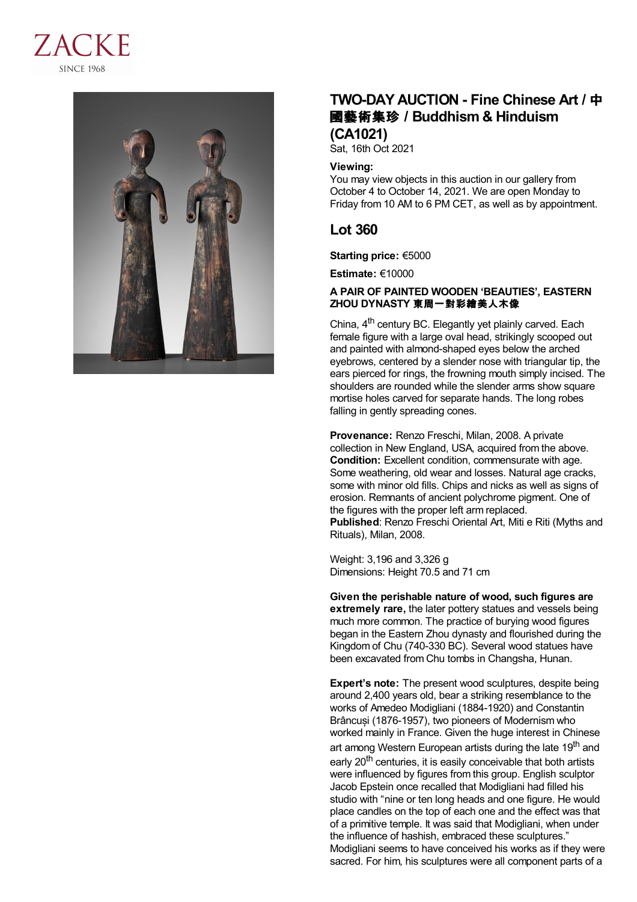



# **TWO-DAY AUCTION - Fine Chinese Art /** 中 國藝術集珍 **/Buddhism & Hinduism (CA1021)**

Sat, 16th Oct 2021

### **Viewing:**

You may view objects in this auction in our gallery from October 4 to October 14, 2021. We are open Monday to Friday from 10 AM to 6 PM CET, as well as by appointment.

## **Lot 360**

**Starting price:** €5000

**Estimate:** €10000

## **A PAIR OF PAINTED WOODEN 'BEAUTIES', EASTERN ZHOU DYNASTY** 東周一對彩繪美人木像

China, 4<sup>th</sup> century BC. Elegantly yet plainly carved. Each female figure with a large oval head, strikingly scooped out and painted with almond-shaped eyes below the arched eyebrows, centered by a slender nose with triangular tip, the ears pierced for rings, the frowning mouth simply incised. The shoulders are rounded while the slender arms show square mortise holes carved for separate hands. The long robes falling in gently spreading cones.

**Provenance:** Renzo Freschi, Milan, 2008. A private collection in New England, USA, acquired from the above. **Condition:** Excellent condition, commensurate with age. Some weathering, old wear and losses. Natural age cracks, some with minor old fills. Chips and nicks as well as signs of erosion. Remnants of ancient polychrome pigment. One of the figures with the proper left arm replaced. **Published**: Renzo Freschi Oriental Art, Miti e Riti (Myths and Rituals), Milan, 2008.

Weight: 3,196 and 3,326 g Dimensions: Height 70.5 and 71 cm

**Given the perishable nature of wood, such figures are extremely rare,** the later pottery statues and vessels being much more common. The practice of burying wood figures began in the Eastern Zhou dynasty and flourished during the Kingdom of Chu (740-330 BC). Several wood statues have been excavated from Chu tombs in Changsha, Hunan.

**Expert's note:** The present wood sculptures, despite being around 2,400 years old, bear a striking resemblance to the works of Amedeo Modigliani (1884-1920) and Constantin Brâncuși (1876-1957), two pioneers of Modernism who worked mainly in France. Given the huge interest in Chinese art among Western European artists during the late 19<sup>th</sup> and early 20<sup>th</sup> centuries, it is easily conceivable that both artists were influenced by figures from this group. English sculptor Jacob Epstein once recalled that Modigliani had filled his studio with "nine or ten long heads and one figure. He would place candles on the top of each one and the effect was that of a primitive temple. It was said that Modigliani, when under the influence of hashish, embraced these sculptures." Modigliani seems to have conceived his works as if they were sacred. For him, his sculptures were all component parts of a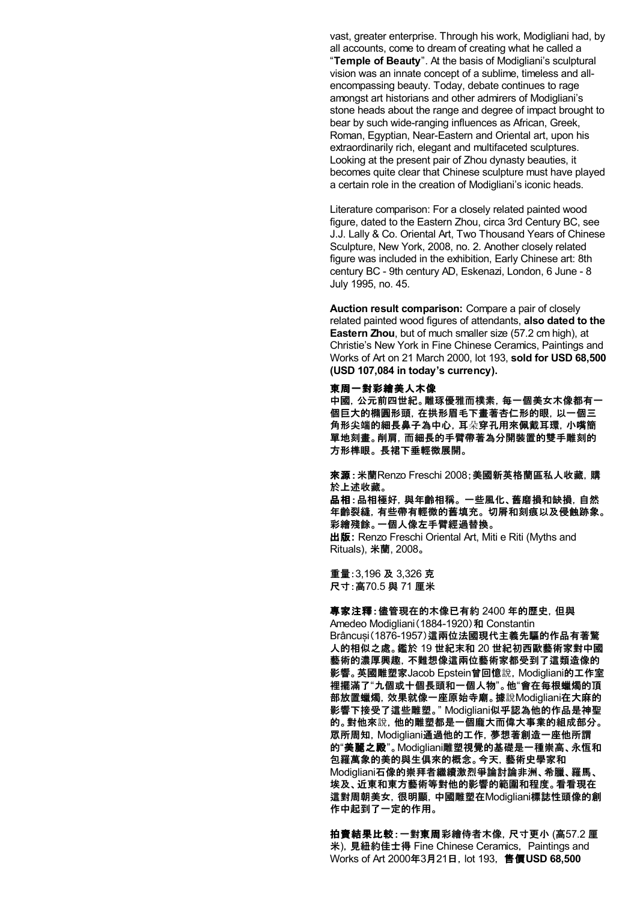vast, greater enterprise. Through his work, Modigliani had, by all accounts, come to dream of creating what he called a "**Temple of Beauty**". At the basis of Modigliani's sculptural vision was an innate concept of a sublime, timeless and allencompassing beauty. Today, debate continues to rage amongst art historians and other admirers of Modigliani's stone heads about the range and degree of impact brought to bear by such wide-ranging influences as African, Greek, Roman, Egyptian, Near-Eastern and Oriental art, upon his extraordinarily rich, elegant and multifaceted sculptures. Looking at the present pair of Zhou dynasty beauties, it becomes quite clear that Chinese sculpture must have played a certain role in the creation of Modigliani's iconic heads.

Literature comparison: For a closely related painted wood figure, dated to the Eastern Zhou, circa 3rd Century BC, see J.J. Lally & Co. Oriental Art, Two Thousand Years of Chinese Sculpture, New York, 2008, no. 2. Another closely related figure was included in the exhibition, Early Chinese art: 8th century BC - 9th century AD, Eskenazi, London, 6 June - 8 July 1995, no. 45.

**Auction result comparison:** Compare a pair of closely related painted wood figures of attendants, **also dated to the Eastern Zhou**, but of much smaller size (57.2 cm high), at Christie's New York in Fine Chinese Ceramics, Paintings and Works of Art on 21 March 2000, lot 193, **sold for USD 68,500 (USD 107,084 in today's currency).**

#### 東周一對彩繪美人木像

中國,公元前四世紀。雕琢優雅而樸素,每一個美女木像都有一 個巨大的橢圓形頭,在拱形眉毛下畫著杏仁形的眼,以一個三 角形尖端的細長鼻子為中心,耳朵穿孔用來佩戴耳環,小嘴簡 單地刻畫。削肩,而細長的手臂帶著為分開裝置的雙手雕刻的 方形榫眼。 長裙下垂輕微展開。

來源:米蘭Renzo Freschi 2008;美國新英格蘭區私人收藏,購 於上述收藏。

品相:品相極好,與年齡相稱。 一些風化、舊磨損和缺損, 自然 年齡裂縫,有些帶有輕微的舊填充。 切屑和刻痕以及侵蝕跡象。 彩繪殘餘。一個人像左手臂經過替換。

出版**:** Renzo Freschi Oriental Art, Miti e Riti (Myths and Rituals), 米蘭, 2008。

重量:3,196 及 3,326 克 尺寸:高70.5 與 71 厘米

專家注釋:儘管現在的木像已有約 2400 年的歷史,但與 Amedeo Modigliani (1884-1920)和 Constantin Brâncuși(1876-1957)這兩位法國現代主義先驅的作品有著驚 人的相似之處。鑑於 19 世紀末和 20 世紀初西歐藝術家對中國 藝術的濃厚興趣,不難想像這兩位藝術家都受到了這類造像的 影響。英國雕塑家Jacob Epstein曾回憶說,Modigliani的工作室 裡擺滿了"九個或十個長頭和一個人物"。他"會在每根蠟燭的頂 部放置蠟燭,效果就像一座原始寺廟。據說Modigliani在大麻的 影響下接受了這些雕塑。" Modigliani似乎認為他的作品是神聖 的。對他來說,他的雕塑都是一個龐大而偉大事業的組成部分。 眾所周知,Modigliani通過他的工作,夢想著創造一座他所謂 的"美麗之殿"。Modigliani雕塑視覺的基礎是一種崇高、永恆和 包羅萬象的美的與生俱來的概念。今天,藝術史學家和 Modigliani石像的崇拜者繼續激烈爭論討論非洲、希臘、羅馬、 埃及、近東和東方藝術等對他的影響的範圍和程度。看看現在 這對周朝美女,很明顯,中國雕塑在Modigliani標誌性頭像的創 作中起到了一定的作用。

拍賣結果比較:一對東周彩繪侍者木像,尺寸更小 (高57.2 厘 米), 見紐約佳士得 Fine Chinese Ceramics, Paintings and Works of Art 2000年3月21日,lot 193, 售價**USD 68,500**